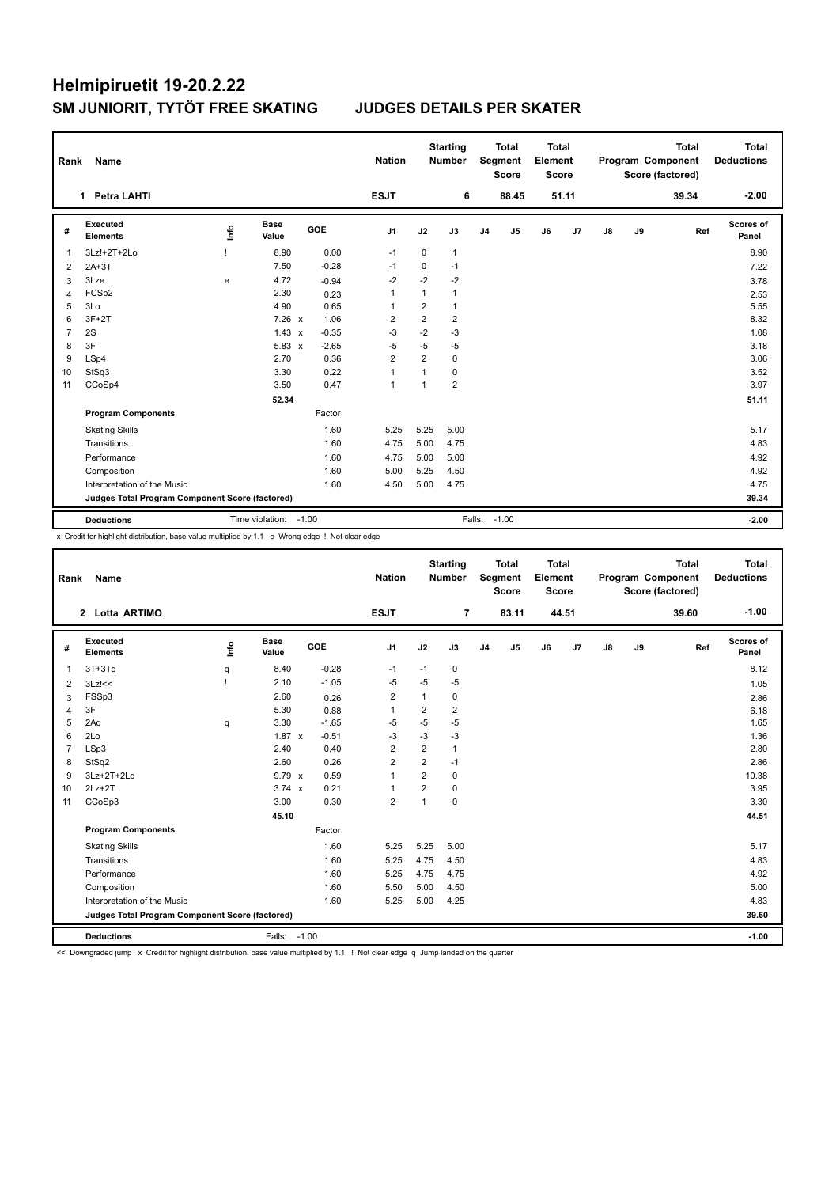| Rank           | <b>Name</b>                                     |      |                       |         | <b>Nation</b>  |                | <b>Starting</b><br><b>Number</b> |                | <b>Total</b><br>Segment<br><b>Score</b> | <b>Total</b><br>Element<br><b>Score</b> |       |               |    | <b>Total</b><br>Program Component<br>Score (factored) | <b>Total</b><br><b>Deductions</b> |
|----------------|-------------------------------------------------|------|-----------------------|---------|----------------|----------------|----------------------------------|----------------|-----------------------------------------|-----------------------------------------|-------|---------------|----|-------------------------------------------------------|-----------------------------------|
|                | 1 Petra LAHTI                                   |      |                       |         | <b>ESJT</b>    |                | 6                                |                | 88.45                                   |                                         | 51.11 |               |    | 39.34                                                 | $-2.00$                           |
| #              | Executed<br><b>Elements</b>                     | lnfo | <b>Base</b><br>Value  | GOE     | J <sub>1</sub> | J2             | J3                               | J <sub>4</sub> | J <sub>5</sub>                          | J6                                      | J7    | $\mathsf{J}8$ | J9 | Ref                                                   | Scores of<br>Panel                |
| -1             | 3Lz!+2T+2Lo                                     |      | 8.90                  | 0.00    | $-1$           | 0              | $\mathbf{1}$                     |                |                                         |                                         |       |               |    |                                                       | 8.90                              |
| 2              | $2A+3T$                                         |      | 7.50                  | $-0.28$ | $-1$           | 0              | $-1$                             |                |                                         |                                         |       |               |    |                                                       | 7.22                              |
| 3              | 3Lze                                            | e    | 4.72                  | $-0.94$ | $-2$           | $-2$           | $-2$                             |                |                                         |                                         |       |               |    |                                                       | 3.78                              |
| $\overline{4}$ | FCSp2                                           |      | 2.30                  | 0.23    | 1              | $\mathbf{1}$   | $\mathbf{1}$                     |                |                                         |                                         |       |               |    |                                                       | 2.53                              |
| 5              | 3Lo                                             |      | 4.90                  | 0.65    | $\mathbf{1}$   | $\overline{2}$ | $\mathbf{1}$                     |                |                                         |                                         |       |               |    |                                                       | 5.55                              |
| 6              | $3F+2T$                                         |      | $7.26 \times$         | 1.06    | 2              | $\overline{2}$ | $\overline{2}$                   |                |                                         |                                         |       |               |    |                                                       | 8.32                              |
| $\overline{7}$ | 2S                                              |      | $1.43 \times$         | $-0.35$ | $-3$           | $-2$           | $-3$                             |                |                                         |                                         |       |               |    |                                                       | 1.08                              |
| 8              | 3F                                              |      | $5.83 \times$         | $-2.65$ | $-5$           | $-5$           | $-5$                             |                |                                         |                                         |       |               |    |                                                       | 3.18                              |
| 9              | LSp4                                            |      | 2.70                  | 0.36    | $\overline{2}$ | $\overline{2}$ | $\mathbf 0$                      |                |                                         |                                         |       |               |    |                                                       | 3.06                              |
| 10             | StSq3                                           |      | 3.30                  | 0.22    | 1              | 1              | $\mathbf 0$                      |                |                                         |                                         |       |               |    |                                                       | 3.52                              |
| 11             | CCoSp4                                          |      | 3.50                  | 0.47    | 1              | 1              | $\overline{2}$                   |                |                                         |                                         |       |               |    |                                                       | 3.97                              |
|                |                                                 |      | 52.34                 |         |                |                |                                  |                |                                         |                                         |       |               |    |                                                       | 51.11                             |
|                | <b>Program Components</b>                       |      |                       | Factor  |                |                |                                  |                |                                         |                                         |       |               |    |                                                       |                                   |
|                | <b>Skating Skills</b>                           |      |                       | 1.60    | 5.25           | 5.25           | 5.00                             |                |                                         |                                         |       |               |    |                                                       | 5.17                              |
|                | Transitions                                     |      |                       | 1.60    | 4.75           | 5.00           | 4.75                             |                |                                         |                                         |       |               |    |                                                       | 4.83                              |
|                | Performance                                     |      |                       | 1.60    | 4.75           | 5.00           | 5.00                             |                |                                         |                                         |       |               |    |                                                       | 4.92                              |
|                | Composition                                     |      |                       | 1.60    | 5.00           | 5.25           | 4.50                             |                |                                         |                                         |       |               |    |                                                       | 4.92                              |
|                | Interpretation of the Music                     |      |                       | 1.60    | 4.50           | 5.00           | 4.75                             |                |                                         |                                         |       |               |    |                                                       | 4.75                              |
|                | Judges Total Program Component Score (factored) |      |                       |         |                |                |                                  |                |                                         |                                         |       |               |    |                                                       | 39.34                             |
|                | <b>Deductions</b>                               |      | Time violation: -1.00 |         |                |                |                                  | Falls: -1.00   |                                         |                                         |       |               |    |                                                       | $-2.00$                           |

x Credit for highlight distribution, base value multiplied by 1.1 e Wrong edge ! Not clear edge

| Rank           | <b>Name</b>                                     |            |                      |            | <b>Nation</b>  |                | <b>Starting</b><br><b>Number</b> |                | <b>Total</b><br>Segment<br><b>Score</b> | <b>Total</b><br>Element<br><b>Score</b> |       |               |    | <b>Total</b><br>Program Component<br>Score (factored) | <b>Total</b><br><b>Deductions</b> |
|----------------|-------------------------------------------------|------------|----------------------|------------|----------------|----------------|----------------------------------|----------------|-----------------------------------------|-----------------------------------------|-------|---------------|----|-------------------------------------------------------|-----------------------------------|
|                | 2 Lotta ARTIMO                                  |            |                      |            | <b>ESJT</b>    |                | $\overline{7}$                   |                | 83.11                                   |                                         | 44.51 |               |    | 39.60                                                 | $-1.00$                           |
| #              | Executed<br><b>Elements</b>                     | <b>Lin</b> | <b>Base</b><br>Value | <b>GOE</b> | J <sub>1</sub> | J2             | J3                               | J <sub>4</sub> | J5                                      | J6                                      | J7    | $\mathsf{J}8$ | J9 | Ref                                                   | Scores of<br>Panel                |
| $\overline{1}$ | $3T+3Tq$                                        | q          | 8.40                 | $-0.28$    | $-1$           | $-1$           | 0                                |                |                                         |                                         |       |               |    |                                                       | 8.12                              |
| 2              | $3Lz$ !<<                                       |            | 2.10                 | $-1.05$    | $-5$           | $-5$           | $-5$                             |                |                                         |                                         |       |               |    |                                                       | 1.05                              |
| 3              | FSSp3                                           |            | 2.60                 | 0.26       | $\overline{2}$ | $\mathbf{1}$   | 0                                |                |                                         |                                         |       |               |    |                                                       | 2.86                              |
| 4              | 3F                                              |            | 5.30                 | 0.88       | $\mathbf{1}$   | $\overline{2}$ | $\overline{2}$                   |                |                                         |                                         |       |               |    |                                                       | 6.18                              |
| 5              | 2Aq                                             | q          | 3.30                 | $-1.65$    | -5             | $-5$           | $-5$                             |                |                                         |                                         |       |               |    |                                                       | 1.65                              |
| 6              | 2Lo                                             |            | $1.87 \times$        | $-0.51$    | $-3$           | $-3$           | $-3$                             |                |                                         |                                         |       |               |    |                                                       | 1.36                              |
| $\overline{7}$ | LSp3                                            |            | 2.40                 | 0.40       | 2              | $\overline{2}$ | $\mathbf{1}$                     |                |                                         |                                         |       |               |    |                                                       | 2.80                              |
| 8              | StSq2                                           |            | 2.60                 | 0.26       | $\overline{2}$ | $\overline{2}$ | $-1$                             |                |                                         |                                         |       |               |    |                                                       | 2.86                              |
| 9              | 3Lz+2T+2Lo                                      |            | $9.79 \times$        | 0.59       | $\mathbf{1}$   | $\overline{2}$ | 0                                |                |                                         |                                         |       |               |    |                                                       | 10.38                             |
| 10             | $2Lz+2T$                                        |            | $3.74 \times$        | 0.21       | 1              | 2              | 0                                |                |                                         |                                         |       |               |    |                                                       | 3.95                              |
| 11             | CCoSp3                                          |            | 3.00                 | 0.30       | $\overline{2}$ | $\overline{1}$ | 0                                |                |                                         |                                         |       |               |    |                                                       | 3.30                              |
|                |                                                 |            | 45.10                |            |                |                |                                  |                |                                         |                                         |       |               |    |                                                       | 44.51                             |
|                | <b>Program Components</b>                       |            |                      | Factor     |                |                |                                  |                |                                         |                                         |       |               |    |                                                       |                                   |
|                | <b>Skating Skills</b>                           |            |                      | 1.60       | 5.25           | 5.25           | 5.00                             |                |                                         |                                         |       |               |    |                                                       | 5.17                              |
|                | Transitions                                     |            |                      | 1.60       | 5.25           | 4.75           | 4.50                             |                |                                         |                                         |       |               |    |                                                       | 4.83                              |
|                | Performance                                     |            |                      | 1.60       | 5.25           | 4.75           | 4.75                             |                |                                         |                                         |       |               |    |                                                       | 4.92                              |
|                | Composition                                     |            |                      | 1.60       | 5.50           | 5.00           | 4.50                             |                |                                         |                                         |       |               |    |                                                       | 5.00                              |
|                | Interpretation of the Music                     |            |                      | 1.60       | 5.25           | 5.00           | 4.25                             |                |                                         |                                         |       |               |    |                                                       | 4.83                              |
|                | Judges Total Program Component Score (factored) |            |                      |            |                |                |                                  |                |                                         |                                         |       |               |    |                                                       | 39.60                             |
|                | <b>Deductions</b>                               |            | Falls:               | $-1.00$    |                |                |                                  |                |                                         |                                         |       |               |    |                                                       | $-1.00$                           |

<< Downgraded jump x Credit for highlight distribution, base value multiplied by 1.1 ! Not clear edge q Jump landed on the quarter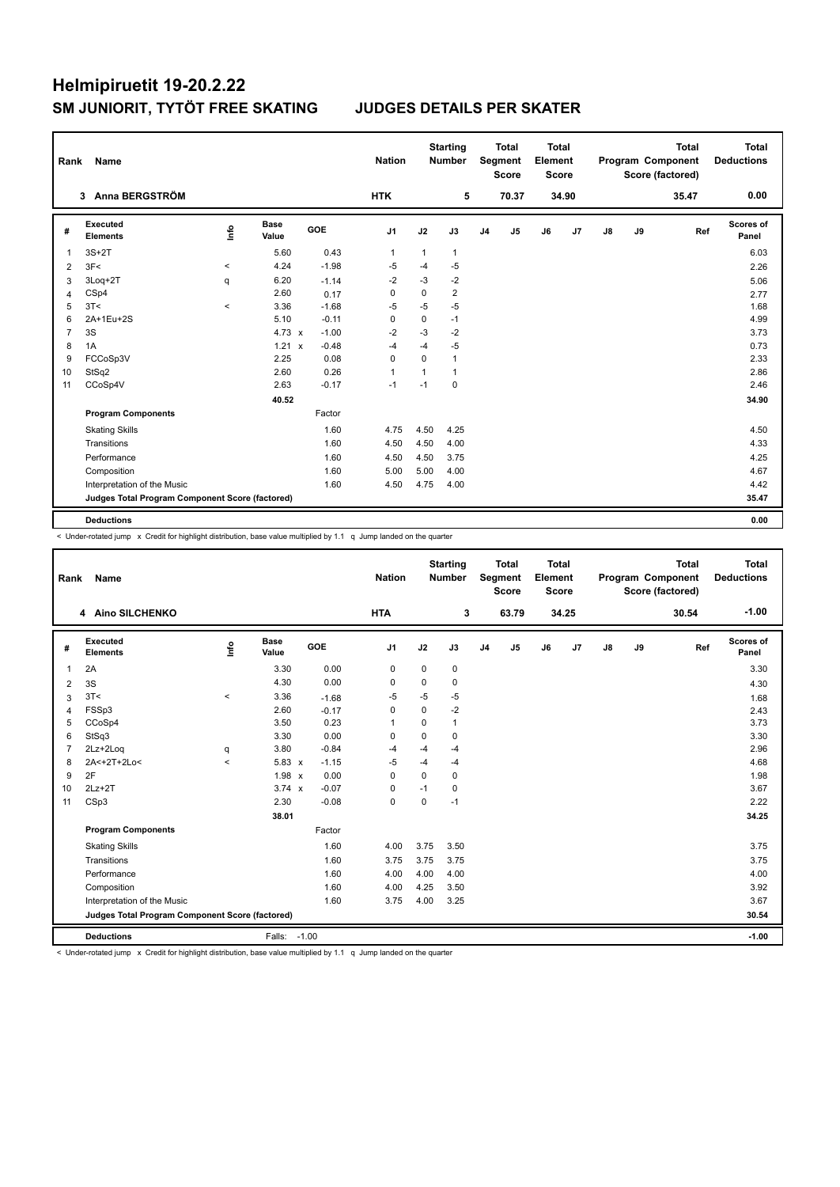| Rank           | Name                                            |         |                      |            | <b>Nation</b>  |              | <b>Starting</b><br><b>Number</b> |                | <b>Total</b><br><b>Segment</b><br><b>Score</b> | <b>Total</b><br>Element<br><b>Score</b> |       |               |    | <b>Total</b><br>Program Component<br>Score (factored) | <b>Total</b><br><b>Deductions</b> |
|----------------|-------------------------------------------------|---------|----------------------|------------|----------------|--------------|----------------------------------|----------------|------------------------------------------------|-----------------------------------------|-------|---------------|----|-------------------------------------------------------|-----------------------------------|
|                | 3 Anna BERGSTRÖM                                |         |                      |            | <b>HTK</b>     |              | 5                                |                | 70.37                                          |                                         | 34.90 |               |    | 35.47                                                 | 0.00                              |
| #              | Executed<br><b>Elements</b>                     | Info    | <b>Base</b><br>Value | <b>GOE</b> | J <sub>1</sub> | J2           | J3                               | J <sub>4</sub> | J5                                             | J6                                      | J7    | $\mathsf{J}8$ | J9 | Ref                                                   | Scores of<br>Panel                |
| 1              | $3S+2T$                                         |         | 5.60                 | 0.43       | $\mathbf{1}$   | $\mathbf{1}$ | $\mathbf{1}$                     |                |                                                |                                         |       |               |    |                                                       | 6.03                              |
| 2              | 3F<                                             | $\,<\,$ | 4.24                 | $-1.98$    | -5             | $-4$         | $-5$                             |                |                                                |                                         |       |               |    |                                                       | 2.26                              |
| 3              | 3Log+2T                                         | q       | 6.20                 | $-1.14$    | $-2$           | -3           | $-2$                             |                |                                                |                                         |       |               |    |                                                       | 5.06                              |
| 4              | CSp4                                            |         | 2.60                 | 0.17       | 0              | 0            | $\overline{2}$                   |                |                                                |                                         |       |               |    |                                                       | 2.77                              |
| 5              | 3T<                                             | $\prec$ | 3.36                 | $-1.68$    | $-5$           | $-5$         | $-5$                             |                |                                                |                                         |       |               |    |                                                       | 1.68                              |
| 6              | 2A+1Eu+2S                                       |         | 5.10                 | $-0.11$    | $\Omega$       | 0            | $-1$                             |                |                                                |                                         |       |               |    |                                                       | 4.99                              |
| $\overline{7}$ | 3S                                              |         | $4.73 \times$        | $-1.00$    | $-2$           | $-3$         | $-2$                             |                |                                                |                                         |       |               |    |                                                       | 3.73                              |
| 8              | 1A                                              |         | $1.21 \times$        | $-0.48$    | $-4$           | $-4$         | $-5$                             |                |                                                |                                         |       |               |    |                                                       | 0.73                              |
| 9              | FCCoSp3V                                        |         | 2.25                 | 0.08       | 0              | $\Omega$     | 1                                |                |                                                |                                         |       |               |    |                                                       | 2.33                              |
| 10             | StSq2                                           |         | 2.60                 | 0.26       | $\mathbf{1}$   | $\mathbf{1}$ | 1                                |                |                                                |                                         |       |               |    |                                                       | 2.86                              |
| 11             | CCoSp4V                                         |         | 2.63                 | $-0.17$    | $-1$           | $-1$         | 0                                |                |                                                |                                         |       |               |    |                                                       | 2.46                              |
|                |                                                 |         | 40.52                |            |                |              |                                  |                |                                                |                                         |       |               |    |                                                       | 34.90                             |
|                | <b>Program Components</b>                       |         |                      | Factor     |                |              |                                  |                |                                                |                                         |       |               |    |                                                       |                                   |
|                | <b>Skating Skills</b>                           |         |                      | 1.60       | 4.75           | 4.50         | 4.25                             |                |                                                |                                         |       |               |    |                                                       | 4.50                              |
|                | Transitions                                     |         |                      | 1.60       | 4.50           | 4.50         | 4.00                             |                |                                                |                                         |       |               |    |                                                       | 4.33                              |
|                | Performance                                     |         |                      | 1.60       | 4.50           | 4.50         | 3.75                             |                |                                                |                                         |       |               |    |                                                       | 4.25                              |
|                | Composition                                     |         |                      | 1.60       | 5.00           | 5.00         | 4.00                             |                |                                                |                                         |       |               |    |                                                       | 4.67                              |
|                | Interpretation of the Music                     |         |                      | 1.60       | 4.50           | 4.75         | 4.00                             |                |                                                |                                         |       |               |    |                                                       | 4.42                              |
|                | Judges Total Program Component Score (factored) |         |                      |            |                |              |                                  |                |                                                |                                         |       |               |    |                                                       | 35.47                             |
|                | <b>Deductions</b>                               |         |                      |            |                |              |                                  |                |                                                |                                         |       |               |    |                                                       | 0.00                              |

< Under-rotated jump x Credit for highlight distribution, base value multiplied by 1.1 q Jump landed on the quarter

| Rank           | <b>Name</b>                                     |         |                      |         | <b>Nation</b>  |             | <b>Starting</b><br><b>Number</b> |                | <b>Total</b><br>Segment<br><b>Score</b> | <b>Total</b><br>Element<br><b>Score</b> |       |    |    | <b>Total</b><br>Program Component<br>Score (factored) | Total<br><b>Deductions</b> |
|----------------|-------------------------------------------------|---------|----------------------|---------|----------------|-------------|----------------------------------|----------------|-----------------------------------------|-----------------------------------------|-------|----|----|-------------------------------------------------------|----------------------------|
|                | 4 Aino SILCHENKO                                |         |                      |         | <b>HTA</b>     |             | 3                                |                | 63.79                                   |                                         | 34.25 |    |    | 30.54                                                 | $-1.00$                    |
| #              | Executed<br><b>Elements</b>                     | ۴٥      | <b>Base</b><br>Value | GOE     | J <sub>1</sub> | J2          | J3                               | J <sub>4</sub> | J <sub>5</sub>                          | J6                                      | J7    | J8 | J9 | Ref                                                   | Scores of<br>Panel         |
| $\overline{1}$ | 2A                                              |         | 3.30                 | 0.00    | $\mathbf 0$    | $\mathbf 0$ | 0                                |                |                                         |                                         |       |    |    |                                                       | 3.30                       |
| 2              | 3S                                              |         | 4.30                 | 0.00    | $\Omega$       | $\Omega$    | 0                                |                |                                         |                                         |       |    |    |                                                       | 4.30                       |
| 3              | 3T<                                             | $\prec$ | 3.36                 | $-1.68$ | $-5$           | $-5$        | $-5$                             |                |                                         |                                         |       |    |    |                                                       | 1.68                       |
| 4              | FSSp3                                           |         | 2.60                 | $-0.17$ | $\mathbf 0$    | $\Omega$    | $-2$                             |                |                                         |                                         |       |    |    |                                                       | 2.43                       |
| 5              | CCoSp4                                          |         | 3.50                 | 0.23    | 1              | $\Omega$    | $\mathbf{1}$                     |                |                                         |                                         |       |    |    |                                                       | 3.73                       |
| 6              | StSq3                                           |         | 3.30                 | 0.00    | $\Omega$       | $\Omega$    | $\Omega$                         |                |                                         |                                         |       |    |    |                                                       | 3.30                       |
| $\overline{7}$ | 2Lz+2Log                                        | q       | 3.80                 | $-0.84$ | -4             | $-4$        | $-4$                             |                |                                         |                                         |       |    |    |                                                       | 2.96                       |
| 8              | 2A<+2T+2Lo<                                     | $\,<$   | $5.83 \times$        | $-1.15$ | $-5$           | $-4$        | $-4$                             |                |                                         |                                         |       |    |    |                                                       | 4.68                       |
| 9              | 2F                                              |         | 1.98 x               | 0.00    | $\Omega$       | $\Omega$    | 0                                |                |                                         |                                         |       |    |    |                                                       | 1.98                       |
| 10             | $2Lz+2T$                                        |         | $3.74 \times$        | $-0.07$ | $\mathbf 0$    | $-1$        | $\Omega$                         |                |                                         |                                         |       |    |    |                                                       | 3.67                       |
| 11             | CSp3                                            |         | 2.30                 | $-0.08$ | $\mathbf 0$    | $\mathbf 0$ | $-1$                             |                |                                         |                                         |       |    |    |                                                       | 2.22                       |
|                |                                                 |         | 38.01                |         |                |             |                                  |                |                                         |                                         |       |    |    |                                                       | 34.25                      |
|                | <b>Program Components</b>                       |         |                      | Factor  |                |             |                                  |                |                                         |                                         |       |    |    |                                                       |                            |
|                | <b>Skating Skills</b>                           |         |                      | 1.60    | 4.00           | 3.75        | 3.50                             |                |                                         |                                         |       |    |    |                                                       | 3.75                       |
|                | Transitions                                     |         |                      | 1.60    | 3.75           | 3.75        | 3.75                             |                |                                         |                                         |       |    |    |                                                       | 3.75                       |
|                | Performance                                     |         |                      | 1.60    | 4.00           | 4.00        | 4.00                             |                |                                         |                                         |       |    |    |                                                       | 4.00                       |
|                | Composition                                     |         |                      | 1.60    | 4.00           | 4.25        | 3.50                             |                |                                         |                                         |       |    |    |                                                       | 3.92                       |
|                | Interpretation of the Music                     |         |                      | 1.60    | 3.75           | 4.00        | 3.25                             |                |                                         |                                         |       |    |    |                                                       | 3.67                       |
|                | Judges Total Program Component Score (factored) |         |                      |         |                |             |                                  |                |                                         |                                         |       |    |    |                                                       | 30.54                      |
|                | <b>Deductions</b>                               |         | Falls: -1.00         |         |                |             |                                  |                |                                         |                                         |       |    |    |                                                       | $-1.00$                    |

< Under-rotated jump x Credit for highlight distribution, base value multiplied by 1.1 q Jump landed on the quarter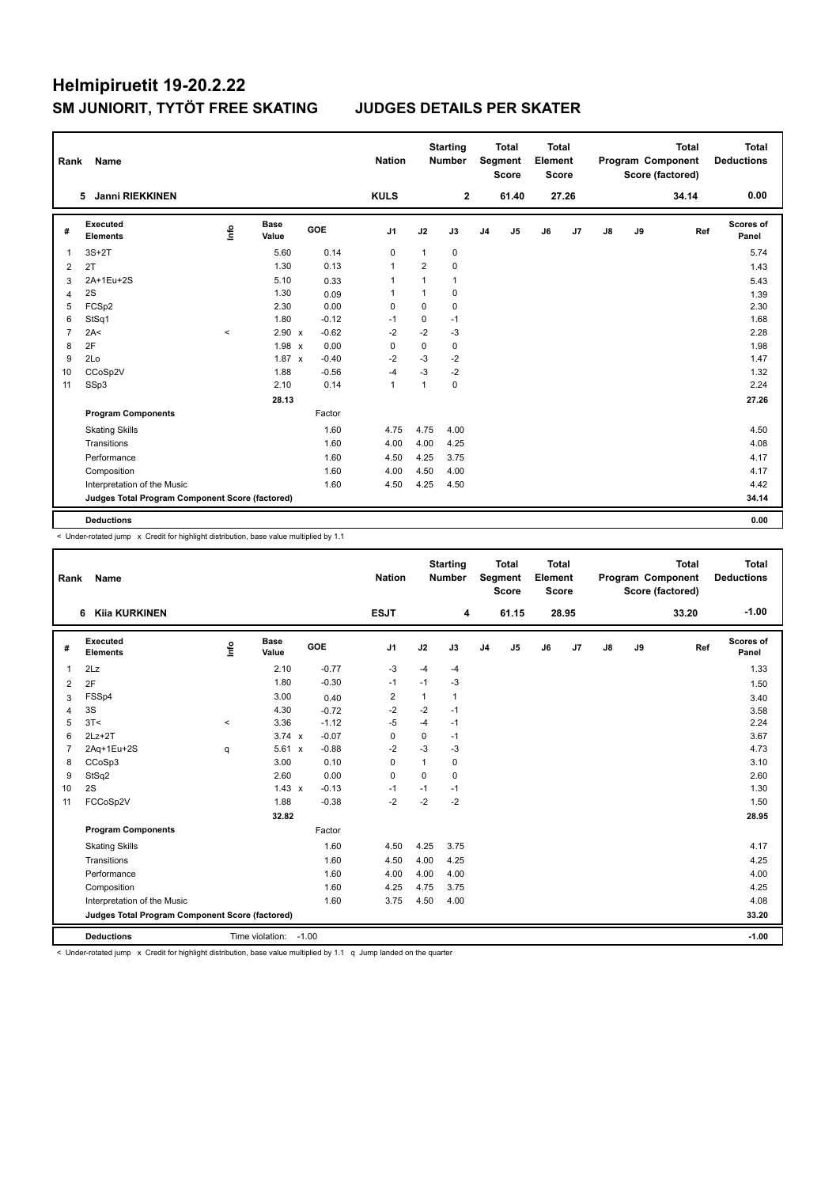|                | Rank<br>Name                                    |         |                      |         | <b>Nation</b>  |                | <b>Starting</b><br><b>Number</b> |                | <b>Total</b><br>Segment<br><b>Score</b> | Total<br>Element<br><b>Score</b> |       |               |    | <b>Total</b><br>Program Component<br>Score (factored) | Total<br><b>Deductions</b> |
|----------------|-------------------------------------------------|---------|----------------------|---------|----------------|----------------|----------------------------------|----------------|-----------------------------------------|----------------------------------|-------|---------------|----|-------------------------------------------------------|----------------------------|
|                | 5 Janni RIEKKINEN                               |         |                      |         | <b>KULS</b>    |                | $\mathbf{2}$                     |                | 61.40                                   |                                  | 27.26 |               |    | 34.14                                                 | 0.00                       |
| #              | Executed<br><b>Elements</b>                     | ١nfo    | <b>Base</b><br>Value | GOE     | J1             | J2             | J3                               | J <sub>4</sub> | J5                                      | J6                               | J7    | $\mathsf{J}8$ | J9 | Ref                                                   | <b>Scores of</b><br>Panel  |
| 1              | $3S+2T$                                         |         | 5.60                 | 0.14    | $\mathbf 0$    | $\mathbf{1}$   | 0                                |                |                                         |                                  |       |               |    |                                                       | 5.74                       |
| 2              | 2T                                              |         | 1.30                 | 0.13    | $\overline{1}$ | $\overline{2}$ | 0                                |                |                                         |                                  |       |               |    |                                                       | 1.43                       |
| 3              | 2A+1Eu+2S                                       |         | 5.10                 | 0.33    | $\mathbf{1}$   | 1              | $\mathbf{1}$                     |                |                                         |                                  |       |               |    |                                                       | 5.43                       |
| 4              | 2S                                              |         | 1.30                 | 0.09    | -1             | $\mathbf{1}$   | 0                                |                |                                         |                                  |       |               |    |                                                       | 1.39                       |
| 5              | FCSp2                                           |         | 2.30                 | 0.00    | 0              | 0              | 0                                |                |                                         |                                  |       |               |    |                                                       | 2.30                       |
| 6              | StSq1                                           |         | 1.80                 | $-0.12$ | -1             | 0              | $-1$                             |                |                                         |                                  |       |               |    |                                                       | 1.68                       |
| $\overline{7}$ | 2A<                                             | $\prec$ | 2.90 x               | $-0.62$ | $-2$           | $-2$           | $-3$                             |                |                                         |                                  |       |               |    |                                                       | 2.28                       |
| 8              | 2F                                              |         | 1.98 x               | 0.00    | 0              | 0              | 0                                |                |                                         |                                  |       |               |    |                                                       | 1.98                       |
| 9              | 2Lo                                             |         | $1.87 \times$        | $-0.40$ | $-2$           | $-3$           | $-2$                             |                |                                         |                                  |       |               |    |                                                       | 1.47                       |
| 10             | CCoSp2V                                         |         | 1.88                 | $-0.56$ | $-4$           | $-3$           | $-2$                             |                |                                         |                                  |       |               |    |                                                       | 1.32                       |
| 11             | SSp3                                            |         | 2.10                 | 0.14    | $\mathbf{1}$   | 1              | 0                                |                |                                         |                                  |       |               |    |                                                       | 2.24                       |
|                |                                                 |         | 28.13                |         |                |                |                                  |                |                                         |                                  |       |               |    |                                                       | 27.26                      |
|                | <b>Program Components</b>                       |         |                      | Factor  |                |                |                                  |                |                                         |                                  |       |               |    |                                                       |                            |
|                | <b>Skating Skills</b>                           |         |                      | 1.60    | 4.75           | 4.75           | 4.00                             |                |                                         |                                  |       |               |    |                                                       | 4.50                       |
|                | Transitions                                     |         |                      | 1.60    | 4.00           | 4.00           | 4.25                             |                |                                         |                                  |       |               |    |                                                       | 4.08                       |
|                | Performance                                     |         |                      | 1.60    | 4.50           | 4.25           | 3.75                             |                |                                         |                                  |       |               |    |                                                       | 4.17                       |
|                | Composition                                     |         |                      | 1.60    | 4.00           | 4.50           | 4.00                             |                |                                         |                                  |       |               |    |                                                       | 4.17                       |
|                | Interpretation of the Music                     |         |                      | 1.60    | 4.50           | 4.25           | 4.50                             |                |                                         |                                  |       |               |    |                                                       | 4.42                       |
|                | Judges Total Program Component Score (factored) |         |                      |         |                |                |                                  |                |                                         |                                  |       |               |    |                                                       | 34.14                      |
|                | <b>Deductions</b>                               |         |                      |         |                |                |                                  |                |                                         |                                  |       |               |    |                                                       | 0.00                       |

< Under-rotated jump x Credit for highlight distribution, base value multiplied by 1.1

| Rank           | Name                                            |             |                       |                         | <b>Nation</b>  |          | <b>Starting</b><br><b>Number</b> |                | <b>Total</b><br>Segment<br><b>Score</b> | <b>Total</b><br>Element<br><b>Score</b> |                |               |    | <b>Total</b><br>Program Component<br>Score (factored) | Total<br><b>Deductions</b> |
|----------------|-------------------------------------------------|-------------|-----------------------|-------------------------|----------------|----------|----------------------------------|----------------|-----------------------------------------|-----------------------------------------|----------------|---------------|----|-------------------------------------------------------|----------------------------|
|                | <b>Kija KURKINEN</b><br>6                       |             |                       |                         | <b>ESJT</b>    |          | 4                                |                | 61.15                                   |                                         | 28.95          |               |    | 33.20                                                 | $-1.00$                    |
| #              | Executed<br><b>Elements</b>                     | <u>info</u> | <b>Base</b><br>Value  | GOE                     | J <sub>1</sub> | J2       | J3                               | J <sub>4</sub> | J <sub>5</sub>                          | J6                                      | J <sub>7</sub> | $\mathsf{J}8$ | J9 | Ref                                                   | Scores of<br>Panel         |
| $\mathbf{1}$   | 2Lz                                             |             | 2.10                  | $-0.77$                 | $-3$           | $-4$     | $-4$                             |                |                                         |                                         |                |               |    |                                                       | 1.33                       |
| 2              | 2F                                              |             | 1.80                  | $-0.30$                 | $-1$           | $-1$     | $-3$                             |                |                                         |                                         |                |               |    |                                                       | 1.50                       |
| 3              | FSSp4                                           |             | 3.00                  | 0.40                    | 2              | 1        | 1                                |                |                                         |                                         |                |               |    |                                                       | 3.40                       |
| 4              | 3S                                              |             | 4.30                  | $-0.72$                 | $-2$           | $-2$     | $-1$                             |                |                                         |                                         |                |               |    |                                                       | 3.58                       |
| 5              | 3T<                                             | $\hat{}$    | 3.36                  | $-1.12$                 | $-5$           | $-4$     | $-1$                             |                |                                         |                                         |                |               |    |                                                       | 2.24                       |
| 6              | $2Lz+2T$                                        |             | $3.74 \times$         | $-0.07$                 | $\mathbf 0$    | 0        | $-1$                             |                |                                         |                                         |                |               |    |                                                       | 3.67                       |
| $\overline{7}$ | 2Aq+1Eu+2S                                      | q           | 5.61                  | $-0.88$<br>$\mathsf{x}$ | $-2$           | $-3$     | $-3$                             |                |                                         |                                         |                |               |    |                                                       | 4.73                       |
| 8              | CCoSp3                                          |             | 3.00                  | 0.10                    | $\mathbf 0$    | 1        | 0                                |                |                                         |                                         |                |               |    |                                                       | 3.10                       |
| 9              | StSq2                                           |             | 2.60                  | 0.00                    | $\Omega$       | $\Omega$ | $\Omega$                         |                |                                         |                                         |                |               |    |                                                       | 2.60                       |
| 10             | 2S                                              |             | $1.43 \times$         | $-0.13$                 | $-1$           | $-1$     | $-1$                             |                |                                         |                                         |                |               |    |                                                       | 1.30                       |
| 11             | FCCoSp2V                                        |             | 1.88                  | $-0.38$                 | $-2$           | $-2$     | $-2$                             |                |                                         |                                         |                |               |    |                                                       | 1.50                       |
|                |                                                 |             | 32.82                 |                         |                |          |                                  |                |                                         |                                         |                |               |    |                                                       | 28.95                      |
|                | <b>Program Components</b>                       |             |                       | Factor                  |                |          |                                  |                |                                         |                                         |                |               |    |                                                       |                            |
|                | <b>Skating Skills</b>                           |             |                       | 1.60                    | 4.50           | 4.25     | 3.75                             |                |                                         |                                         |                |               |    |                                                       | 4.17                       |
|                | Transitions                                     |             |                       | 1.60                    | 4.50           | 4.00     | 4.25                             |                |                                         |                                         |                |               |    |                                                       | 4.25                       |
|                | Performance                                     |             |                       | 1.60                    | 4.00           | 4.00     | 4.00                             |                |                                         |                                         |                |               |    |                                                       | 4.00                       |
|                | Composition                                     |             |                       | 1.60                    | 4.25           | 4.75     | 3.75                             |                |                                         |                                         |                |               |    |                                                       | 4.25                       |
|                | Interpretation of the Music                     |             |                       | 1.60                    | 3.75           | 4.50     | 4.00                             |                |                                         |                                         |                |               |    |                                                       | 4.08                       |
|                | Judges Total Program Component Score (factored) |             |                       |                         |                |          |                                  |                |                                         |                                         |                |               |    |                                                       | 33.20                      |
|                | <b>Deductions</b>                               |             | Time violation: -1.00 |                         |                |          |                                  |                |                                         |                                         |                |               |    |                                                       | $-1.00$                    |

< Under-rotated jump x Credit for highlight distribution, base value multiplied by 1.1 q Jump landed on the quarter